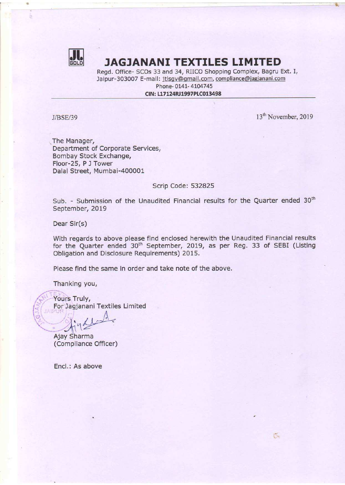

# **WU JAGJANANI TEXTILES LIMITED**

Regd. Office- SCOs 33 and 34, RIICO Shopping Complex, Bagru Ext. I, Jaipur-303007 E-mail: jtlsgv@gmail.com, compliance@jagjanani.com Phone- 0141- 4104745

CIN: L17124RJ1997PLC013498

 $J/BSE/39$  13<sup>th</sup> November, 2019

 $\tilde{\mathbb{C}}$ 

The Manager, Department of Corporate Services, Bombay Stock Exchange, Floor-25, P J Tower Dalal Street, Mumbai-400001

## Scrip Code: 532825

Sub. - Submission of the Unaudited Financial results for the Quarter ended 30<sup>th</sup> September, 2019

Dear Sir(s)

With regards to above please find enclosed herewith the Unaudited Financial results for the Quarter ended 30" September, 2019, as per Reg. 33 of SEBI (Listing Obligation and Disclosure Requirements) 2015.

Please find the same in order and take note of the above.

Thanking you,

Yours Truly, For Jagjanani Textiles Limited

 $\mathcal{A}$  $\frac{1}{2}$ 

Ajay Sharma (Compliance Officer)

Encl.: As above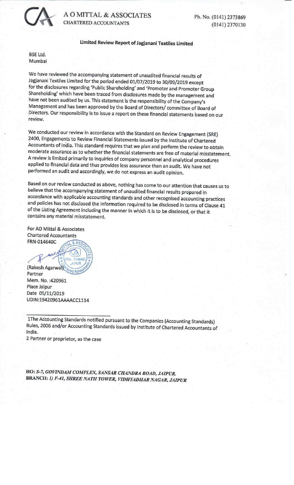

A O MITTAL & ASSOCIATES Ph. No. (0141) 2373869 CHARTERED ACCOUNTANTS (0141) <sup>2370130</sup>

## Limited Review Report of Jagjanani Textiles Limited

BSE Ltd. Mumbai

We have reviewed the accompanying statement of unaudited financial results of<br>Jagjanani Textiles Limited for the period ended 01/07/2019 to 30/09/2019 except<br>for the disclosures regarding 'Public Shareholding' and 'Promote

We conducted our review in accordance with the Standard on Review Engagement (SRE)<br>2400, Engagements to Review Financial Statements issued by the Institute of Chartered<br>Accountants of India. This standard requires that we

Based on our review conducted as above, nothing has come to our attention that causes us to<br>believe that the accompanying statement of unaudited financial results prepared in<br>accordance with applicable accounting standards

For AO Mittal & Associates Chartered Accountants FRN-014640C

(Rakesh Agarwal) Partner Mem. No. :420961 Place Jaipur Date 05/11/2019 UDIN:19420961AAAACC1114

The Accounting Standards notified pursuant to the Companies (Accounting Standards) Rules, 2006 and/or Accounting Standards issued by Institute of Chartered Accountants of India.

2 Partner or proprietor, as the case

HO: S-7, GOVINDAM COMPLEX, SANSAR CHANDRA ROAD, JAIPUR. BRANCH: 1) F-41, SHREE NATH TOWER, VIDHYADHAR NAGAR, JAIPUR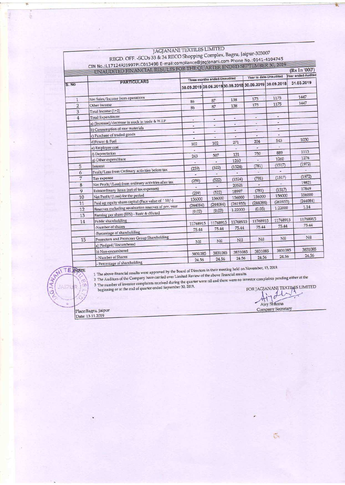|                     | REGD. OFF. - SCOs 33 & 34 RIICO Shopping Complex, Bagru, Jaipur-303007<br>CIN No.:L17124RJ1997PLC013498 E-mail:compliance@jagjanani.com Phone No.:0141-4104745 | <b>JAGJANANI TEXTILES LIMITED</b> |                                   |                                                        |                        |                          |                                                                                    |
|---------------------|----------------------------------------------------------------------------------------------------------------------------------------------------------------|-----------------------------------|-----------------------------------|--------------------------------------------------------|------------------------|--------------------------|------------------------------------------------------------------------------------|
|                     | UNAUDITED FINANCIAL RESULTS FOR THE QUARTER ENDED SEPTEMBER 30, 2019                                                                                           |                                   |                                   |                                                        |                        |                          | (Rs In '000')                                                                      |
|                     |                                                                                                                                                                |                                   | Three months ended-Unaudited      |                                                        | Year to date-Unaudited |                          | Year ended-Audited                                                                 |
| S. No               | <b>PARTICULARS</b>                                                                                                                                             |                                   |                                   | 30.09.2019 30.06.2019 30.09.2018 30.09.2019 30.09.2018 |                        |                          | 31.03.2019                                                                         |
|                     |                                                                                                                                                                |                                   |                                   |                                                        |                        |                          | 1447                                                                               |
| $\mathbf{1}$        | Net Sales/Income from operations                                                                                                                               | 86                                | 87                                | 138                                                    | 173<br>173             | 1175<br>1175             | 1447                                                                               |
| $\overline{2}$<br>3 | Other Income<br>Total Income (1+2)                                                                                                                             | 86                                | 87                                | 138                                                    |                        |                          |                                                                                    |
| $\overline{4}$      | Total Expenditure:                                                                                                                                             | $\overline{\phantom{a}}$          | ٠                                 | œ.                                                     | U,                     | 嵩                        |                                                                                    |
|                     | a) (Increase)/decrease in stock in trade & W.I.P<br>b) Consumption of raw materials                                                                            | ۷                                 | $\blacksquare$                    | ۰                                                      | ٠                      | $\frac{1}{2}$            |                                                                                    |
|                     | c) Purchase of traded goods                                                                                                                                    | à.                                | $\blacksquare$                    | ٠                                                      | ٠<br>۰                 | $\overline{\phantom{a}}$ |                                                                                    |
|                     | d)Power & Fuel                                                                                                                                                 | $\rightarrow$                     | ٠<br>102                          | $\overline{\phantom{a}}$<br>271                        | 204                    | 543                      | 1030                                                                               |
|                     |                                                                                                                                                                | 102                               | $\bullet$                         | $\overline{\phantom{a}}$                               | $\blacksquare$         | $\sim$                   | 1113                                                                               |
|                     | e) Employee cost                                                                                                                                               |                                   |                                   | 131                                                    | 750                    | 889<br>1260              | 1276                                                                               |
|                     | f) Depreciation                                                                                                                                                | 243                               | 507                               |                                                        |                        | (1517)                   | (1972)                                                                             |
|                     | g) Other expenditure                                                                                                                                           | $\overline{\phantom{a}}$          | u                                 | 1260                                                   |                        |                          |                                                                                    |
| 5                   | <b>Interest</b>                                                                                                                                                | (259)                             | (522)                             | (1524)                                                 | (781)                  | $\sim$                   | $\omega$                                                                           |
| 6<br>$\overline{7}$ | Profit/Loss from Ordinary activities before tax<br>Tax expense                                                                                                 | ٠                                 |                                   | $\overline{\phantom{a}}$<br>(1524)                     | (781)                  | (1517)                   |                                                                                    |
| 8                   | Net Profit/(Loss) from ordinary activities after tax                                                                                                           | (259)<br>÷.                       | (522)<br>$\overline{\phantom{a}}$ | 20521                                                  |                        | $\blacksquare$           |                                                                                    |
| 9                   | Extraordinary items (net of tax expenses)                                                                                                                      | (259)                             | (522)                             | 18997                                                  | (781)                  | (1517)                   |                                                                                    |
| 10                  | Net Profit/(Loss) for the period                                                                                                                               | 156000                            | 156000                            | 156000                                                 | 156000                 | 156000                   |                                                                                    |
| 11                  | Paid up equity share capital (Face value of `10/-)                                                                                                             | (244084)                          | (244084)                          | (261933)                                               | (244084)<br>(0.05)     | (261933)<br>1.22000      |                                                                                    |
| 12<br>13            | Reserves excluding revaluation reserves of prv. year<br>Earning per share (EPS) - Basic & diluted                                                              | (0.02)                            | (0.03)                            | 1.22000                                                |                        |                          |                                                                                    |
| 14                  | Public shareholding                                                                                                                                            |                                   | 11768915                          | 11768915                                               | 11768915               | 11768915                 |                                                                                    |
|                     | -Number of shares                                                                                                                                              | 11768915<br>75.44                 | 75.44                             | 75.44                                                  | 75.44                  | 75.44                    |                                                                                    |
|                     | -Percentage of shareholding                                                                                                                                    |                                   |                                   |                                                        |                        |                          | (1972)<br>19821<br>17849<br>156000<br>(244084)<br>1.14<br>11768915<br>75.44<br>Nil |
| 15                  | Promoters and Promoter Group Shareholding                                                                                                                      | Nil                               | Nil                               | Nil                                                    | Nil                    | Nil                      |                                                                                    |
|                     | a) Pledged/Encumbered<br>b) Non-encumbered                                                                                                                     | 3831085                           | 3831085                           | 3831085                                                | 3831085                | 3831085                  | 3831085<br>24.56                                                                   |

# JAGJANANI 'TEXTILES LIMITED

## TE Notes: JANA **JAIR** ්

financial results.

- Percentage or statements,<br>
1 The above financial results were approved by the Board of Directors in their meeting held on November, 13, 2019.<br>
2 The Auditors of the Company have carried over Limited Review of the above f 1 The above financial results were approved by the more financial results.<br>2 The Auditors of the Company have carried over Limited Review of the above financial results.<br>3 The number of investor complaints received during The number of investor complaints received during the quarties beginning or at the end of quarter ended September 30, 2019.

FOR JACJANANI TEXTILES LIMITED Ajay Company Secretary

 $\zeta$ 

 $=$ 

|Place:Bagru, Jaipur Date: 13.11.2019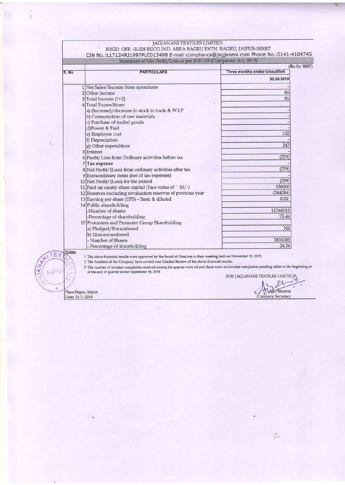| JAGJANANI TEXTILES LIMITED<br>REGD. OFF. - E-228 RIICO IND. AREA BAGRU EXTN. BAGRU, JAIPUR-303007<br>CIN No.:L17124RJ1997PLC013498 E-mail:compliance@jagjanani.com Phone No.:0141-4104745<br>Statement of Net Profit/Loss as per IND AS (Companies Act, 2013)<br>(Rs In '000')<br><b>Three months ended-Unaudited</b><br><b>PARTICULARS</b><br>30.09.2019<br>1 Net Sales/Income from operations<br>86<br>2 Other Income<br>86<br>$3$ Total Income (1+2)<br>4 Total Expenditure:<br>a) (Increase)/decrease in stock in trade & W.I.P<br>b) Consumption of raw materials<br>c) Purchase of traded goods<br>d)Power & Fuel<br>102<br>e) Employee cost<br>f) Depreciation<br>243<br>g) Other expenditure<br>5 Interest<br>(259)<br>6 Profit/Loss from Ordinary activities before tax<br>7 Tax expense<br>(259)<br>8 Net Profit/(Loss) from ordinary activities after tax<br>9 Extraordinary items (net of tax expenses)<br>(259)<br>10 Net Profit/(Loss) for the period<br>156000<br>11 Paid up equity share capital (Face value of `10/-)<br>(244084)<br>12 Reserves excluding revaluation reserves of previous year<br>0.02<br>13 Earning per share (EPS) - Basic & diluted<br>14 Public shareholding<br>11768915<br>-Number of shares<br>75.44<br>-Percentage of shareholding<br>15 Promoters and Promoter Group Shareholding<br>Nil<br>a) Pledged/Encumbered<br>b) Non-encumbered<br>3831085<br>- Number of Shares<br>24.56<br>- Percentage of shareholding<br>1 The above financial results were approved by the Board of Directors in their meeting held on November 13, 2019.<br>2 The Auditors of the Company have carried over Limited Review of the above financial results.<br>3 The number of investor complaints received during the quarter were nil and there were no investor complaints pending either at the beginning or<br>at the end of quarter ended September 30, 2019.<br>FOR JAGJANANI TEXTILES LIMITED<br>Ajay Sharma<br>Place:Bagru, Jaipur |        |  |
|--------------------------------------------------------------------------------------------------------------------------------------------------------------------------------------------------------------------------------------------------------------------------------------------------------------------------------------------------------------------------------------------------------------------------------------------------------------------------------------------------------------------------------------------------------------------------------------------------------------------------------------------------------------------------------------------------------------------------------------------------------------------------------------------------------------------------------------------------------------------------------------------------------------------------------------------------------------------------------------------------------------------------------------------------------------------------------------------------------------------------------------------------------------------------------------------------------------------------------------------------------------------------------------------------------------------------------------------------------------------------------------------------------------------------------------------------------------------------------------------------------------------------------------------------------------------------------------------------------------------------------------------------------------------------------------------------------------------------------------------------------------------------------------------------------------------------------------------------------------------------------------------------------------------------------------------------------------------|--------|--|
|                                                                                                                                                                                                                                                                                                                                                                                                                                                                                                                                                                                                                                                                                                                                                                                                                                                                                                                                                                                                                                                                                                                                                                                                                                                                                                                                                                                                                                                                                                                                                                                                                                                                                                                                                                                                                                                                                                                                                                    |        |  |
|                                                                                                                                                                                                                                                                                                                                                                                                                                                                                                                                                                                                                                                                                                                                                                                                                                                                                                                                                                                                                                                                                                                                                                                                                                                                                                                                                                                                                                                                                                                                                                                                                                                                                                                                                                                                                                                                                                                                                                    |        |  |
|                                                                                                                                                                                                                                                                                                                                                                                                                                                                                                                                                                                                                                                                                                                                                                                                                                                                                                                                                                                                                                                                                                                                                                                                                                                                                                                                                                                                                                                                                                                                                                                                                                                                                                                                                                                                                                                                                                                                                                    |        |  |
|                                                                                                                                                                                                                                                                                                                                                                                                                                                                                                                                                                                                                                                                                                                                                                                                                                                                                                                                                                                                                                                                                                                                                                                                                                                                                                                                                                                                                                                                                                                                                                                                                                                                                                                                                                                                                                                                                                                                                                    |        |  |
|                                                                                                                                                                                                                                                                                                                                                                                                                                                                                                                                                                                                                                                                                                                                                                                                                                                                                                                                                                                                                                                                                                                                                                                                                                                                                                                                                                                                                                                                                                                                                                                                                                                                                                                                                                                                                                                                                                                                                                    |        |  |
|                                                                                                                                                                                                                                                                                                                                                                                                                                                                                                                                                                                                                                                                                                                                                                                                                                                                                                                                                                                                                                                                                                                                                                                                                                                                                                                                                                                                                                                                                                                                                                                                                                                                                                                                                                                                                                                                                                                                                                    |        |  |
|                                                                                                                                                                                                                                                                                                                                                                                                                                                                                                                                                                                                                                                                                                                                                                                                                                                                                                                                                                                                                                                                                                                                                                                                                                                                                                                                                                                                                                                                                                                                                                                                                                                                                                                                                                                                                                                                                                                                                                    |        |  |
|                                                                                                                                                                                                                                                                                                                                                                                                                                                                                                                                                                                                                                                                                                                                                                                                                                                                                                                                                                                                                                                                                                                                                                                                                                                                                                                                                                                                                                                                                                                                                                                                                                                                                                                                                                                                                                                                                                                                                                    |        |  |
|                                                                                                                                                                                                                                                                                                                                                                                                                                                                                                                                                                                                                                                                                                                                                                                                                                                                                                                                                                                                                                                                                                                                                                                                                                                                                                                                                                                                                                                                                                                                                                                                                                                                                                                                                                                                                                                                                                                                                                    |        |  |
|                                                                                                                                                                                                                                                                                                                                                                                                                                                                                                                                                                                                                                                                                                                                                                                                                                                                                                                                                                                                                                                                                                                                                                                                                                                                                                                                                                                                                                                                                                                                                                                                                                                                                                                                                                                                                                                                                                                                                                    |        |  |
|                                                                                                                                                                                                                                                                                                                                                                                                                                                                                                                                                                                                                                                                                                                                                                                                                                                                                                                                                                                                                                                                                                                                                                                                                                                                                                                                                                                                                                                                                                                                                                                                                                                                                                                                                                                                                                                                                                                                                                    |        |  |
|                                                                                                                                                                                                                                                                                                                                                                                                                                                                                                                                                                                                                                                                                                                                                                                                                                                                                                                                                                                                                                                                                                                                                                                                                                                                                                                                                                                                                                                                                                                                                                                                                                                                                                                                                                                                                                                                                                                                                                    |        |  |
|                                                                                                                                                                                                                                                                                                                                                                                                                                                                                                                                                                                                                                                                                                                                                                                                                                                                                                                                                                                                                                                                                                                                                                                                                                                                                                                                                                                                                                                                                                                                                                                                                                                                                                                                                                                                                                                                                                                                                                    |        |  |
|                                                                                                                                                                                                                                                                                                                                                                                                                                                                                                                                                                                                                                                                                                                                                                                                                                                                                                                                                                                                                                                                                                                                                                                                                                                                                                                                                                                                                                                                                                                                                                                                                                                                                                                                                                                                                                                                                                                                                                    |        |  |
|                                                                                                                                                                                                                                                                                                                                                                                                                                                                                                                                                                                                                                                                                                                                                                                                                                                                                                                                                                                                                                                                                                                                                                                                                                                                                                                                                                                                                                                                                                                                                                                                                                                                                                                                                                                                                                                                                                                                                                    | S. No  |  |
|                                                                                                                                                                                                                                                                                                                                                                                                                                                                                                                                                                                                                                                                                                                                                                                                                                                                                                                                                                                                                                                                                                                                                                                                                                                                                                                                                                                                                                                                                                                                                                                                                                                                                                                                                                                                                                                                                                                                                                    |        |  |
|                                                                                                                                                                                                                                                                                                                                                                                                                                                                                                                                                                                                                                                                                                                                                                                                                                                                                                                                                                                                                                                                                                                                                                                                                                                                                                                                                                                                                                                                                                                                                                                                                                                                                                                                                                                                                                                                                                                                                                    |        |  |
|                                                                                                                                                                                                                                                                                                                                                                                                                                                                                                                                                                                                                                                                                                                                                                                                                                                                                                                                                                                                                                                                                                                                                                                                                                                                                                                                                                                                                                                                                                                                                                                                                                                                                                                                                                                                                                                                                                                                                                    |        |  |
|                                                                                                                                                                                                                                                                                                                                                                                                                                                                                                                                                                                                                                                                                                                                                                                                                                                                                                                                                                                                                                                                                                                                                                                                                                                                                                                                                                                                                                                                                                                                                                                                                                                                                                                                                                                                                                                                                                                                                                    |        |  |
|                                                                                                                                                                                                                                                                                                                                                                                                                                                                                                                                                                                                                                                                                                                                                                                                                                                                                                                                                                                                                                                                                                                                                                                                                                                                                                                                                                                                                                                                                                                                                                                                                                                                                                                                                                                                                                                                                                                                                                    |        |  |
|                                                                                                                                                                                                                                                                                                                                                                                                                                                                                                                                                                                                                                                                                                                                                                                                                                                                                                                                                                                                                                                                                                                                                                                                                                                                                                                                                                                                                                                                                                                                                                                                                                                                                                                                                                                                                                                                                                                                                                    |        |  |
|                                                                                                                                                                                                                                                                                                                                                                                                                                                                                                                                                                                                                                                                                                                                                                                                                                                                                                                                                                                                                                                                                                                                                                                                                                                                                                                                                                                                                                                                                                                                                                                                                                                                                                                                                                                                                                                                                                                                                                    |        |  |
|                                                                                                                                                                                                                                                                                                                                                                                                                                                                                                                                                                                                                                                                                                                                                                                                                                                                                                                                                                                                                                                                                                                                                                                                                                                                                                                                                                                                                                                                                                                                                                                                                                                                                                                                                                                                                                                                                                                                                                    |        |  |
|                                                                                                                                                                                                                                                                                                                                                                                                                                                                                                                                                                                                                                                                                                                                                                                                                                                                                                                                                                                                                                                                                                                                                                                                                                                                                                                                                                                                                                                                                                                                                                                                                                                                                                                                                                                                                                                                                                                                                                    |        |  |
|                                                                                                                                                                                                                                                                                                                                                                                                                                                                                                                                                                                                                                                                                                                                                                                                                                                                                                                                                                                                                                                                                                                                                                                                                                                                                                                                                                                                                                                                                                                                                                                                                                                                                                                                                                                                                                                                                                                                                                    |        |  |
|                                                                                                                                                                                                                                                                                                                                                                                                                                                                                                                                                                                                                                                                                                                                                                                                                                                                                                                                                                                                                                                                                                                                                                                                                                                                                                                                                                                                                                                                                                                                                                                                                                                                                                                                                                                                                                                                                                                                                                    |        |  |
|                                                                                                                                                                                                                                                                                                                                                                                                                                                                                                                                                                                                                                                                                                                                                                                                                                                                                                                                                                                                                                                                                                                                                                                                                                                                                                                                                                                                                                                                                                                                                                                                                                                                                                                                                                                                                                                                                                                                                                    |        |  |
|                                                                                                                                                                                                                                                                                                                                                                                                                                                                                                                                                                                                                                                                                                                                                                                                                                                                                                                                                                                                                                                                                                                                                                                                                                                                                                                                                                                                                                                                                                                                                                                                                                                                                                                                                                                                                                                                                                                                                                    |        |  |
|                                                                                                                                                                                                                                                                                                                                                                                                                                                                                                                                                                                                                                                                                                                                                                                                                                                                                                                                                                                                                                                                                                                                                                                                                                                                                                                                                                                                                                                                                                                                                                                                                                                                                                                                                                                                                                                                                                                                                                    |        |  |
|                                                                                                                                                                                                                                                                                                                                                                                                                                                                                                                                                                                                                                                                                                                                                                                                                                                                                                                                                                                                                                                                                                                                                                                                                                                                                                                                                                                                                                                                                                                                                                                                                                                                                                                                                                                                                                                                                                                                                                    |        |  |
|                                                                                                                                                                                                                                                                                                                                                                                                                                                                                                                                                                                                                                                                                                                                                                                                                                                                                                                                                                                                                                                                                                                                                                                                                                                                                                                                                                                                                                                                                                                                                                                                                                                                                                                                                                                                                                                                                                                                                                    |        |  |
|                                                                                                                                                                                                                                                                                                                                                                                                                                                                                                                                                                                                                                                                                                                                                                                                                                                                                                                                                                                                                                                                                                                                                                                                                                                                                                                                                                                                                                                                                                                                                                                                                                                                                                                                                                                                                                                                                                                                                                    |        |  |
|                                                                                                                                                                                                                                                                                                                                                                                                                                                                                                                                                                                                                                                                                                                                                                                                                                                                                                                                                                                                                                                                                                                                                                                                                                                                                                                                                                                                                                                                                                                                                                                                                                                                                                                                                                                                                                                                                                                                                                    |        |  |
|                                                                                                                                                                                                                                                                                                                                                                                                                                                                                                                                                                                                                                                                                                                                                                                                                                                                                                                                                                                                                                                                                                                                                                                                                                                                                                                                                                                                                                                                                                                                                                                                                                                                                                                                                                                                                                                                                                                                                                    |        |  |
|                                                                                                                                                                                                                                                                                                                                                                                                                                                                                                                                                                                                                                                                                                                                                                                                                                                                                                                                                                                                                                                                                                                                                                                                                                                                                                                                                                                                                                                                                                                                                                                                                                                                                                                                                                                                                                                                                                                                                                    |        |  |
|                                                                                                                                                                                                                                                                                                                                                                                                                                                                                                                                                                                                                                                                                                                                                                                                                                                                                                                                                                                                                                                                                                                                                                                                                                                                                                                                                                                                                                                                                                                                                                                                                                                                                                                                                                                                                                                                                                                                                                    |        |  |
|                                                                                                                                                                                                                                                                                                                                                                                                                                                                                                                                                                                                                                                                                                                                                                                                                                                                                                                                                                                                                                                                                                                                                                                                                                                                                                                                                                                                                                                                                                                                                                                                                                                                                                                                                                                                                                                                                                                                                                    |        |  |
|                                                                                                                                                                                                                                                                                                                                                                                                                                                                                                                                                                                                                                                                                                                                                                                                                                                                                                                                                                                                                                                                                                                                                                                                                                                                                                                                                                                                                                                                                                                                                                                                                                                                                                                                                                                                                                                                                                                                                                    |        |  |
|                                                                                                                                                                                                                                                                                                                                                                                                                                                                                                                                                                                                                                                                                                                                                                                                                                                                                                                                                                                                                                                                                                                                                                                                                                                                                                                                                                                                                                                                                                                                                                                                                                                                                                                                                                                                                                                                                                                                                                    |        |  |
|                                                                                                                                                                                                                                                                                                                                                                                                                                                                                                                                                                                                                                                                                                                                                                                                                                                                                                                                                                                                                                                                                                                                                                                                                                                                                                                                                                                                                                                                                                                                                                                                                                                                                                                                                                                                                                                                                                                                                                    |        |  |
|                                                                                                                                                                                                                                                                                                                                                                                                                                                                                                                                                                                                                                                                                                                                                                                                                                                                                                                                                                                                                                                                                                                                                                                                                                                                                                                                                                                                                                                                                                                                                                                                                                                                                                                                                                                                                                                                                                                                                                    | Notes: |  |
|                                                                                                                                                                                                                                                                                                                                                                                                                                                                                                                                                                                                                                                                                                                                                                                                                                                                                                                                                                                                                                                                                                                                                                                                                                                                                                                                                                                                                                                                                                                                                                                                                                                                                                                                                                                                                                                                                                                                                                    |        |  |
| Date: 13.11.2019                                                                                                                                                                                                                                                                                                                                                                                                                                                                                                                                                                                                                                                                                                                                                                                                                                                                                                                                                                                                                                                                                                                                                                                                                                                                                                                                                                                                                                                                                                                                                                                                                                                                                                                                                                                                                                                                                                                                                   |        |  |

TE  $\frac{1}{2}$ s

F3

Place:Bagru, Jaipur jay Sharma (1999) | Majay Sharma (1999) | Majay Sharma (1999) | Majay Sharma (1999) | Majay Sharma (1999) | Majay Sharma (1999) | Majay Sharma (1999) | Majay Sharma (1999) | Majay Secretary (1999) | Maj

 $\tilde{C}$